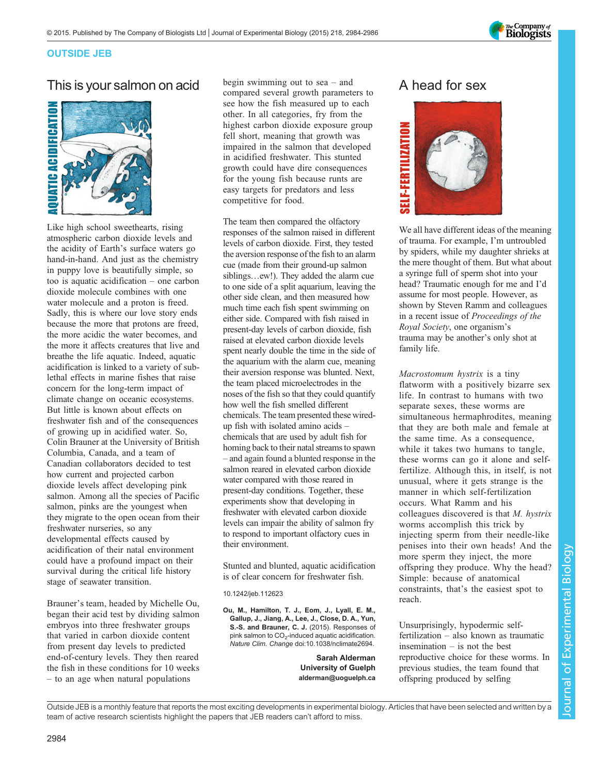

### OUTSIDE JEB

# This is your salmon on acid



Like high school sweethearts, rising atmospheric carbon dioxide levels and the acidity of Earth's surface waters go hand-in-hand. And just as the chemistry in puppy love is beautifully simple, so too is aquatic acidification – one carbon dioxide molecule combines with one water molecule and a proton is freed. Sadly, this is where our love story ends because the more that protons are freed, the more acidic the water becomes, and the more it affects creatures that live and breathe the life aquatic. Indeed, aquatic acidification is linked to a variety of sublethal effects in marine fishes that raise concern for the long-term impact of climate change on oceanic ecosystems. But little is known about effects on freshwater fish and of the consequences of growing up in acidified water. So, Colin Brauner at the University of British Columbia, Canada, and a team of Canadian collaborators decided to test how current and projected carbon dioxide levels affect developing pink salmon. Among all the species of Pacific salmon, pinks are the youngest when they migrate to the open ocean from their freshwater nurseries, so any developmental effects caused by acidification of their natal environment could have a profound impact on their survival during the critical life history stage of seawater transition.

Brauner's team, headed by Michelle Ou, began their acid test by dividing salmon embryos into three freshwater groups that varied in carbon dioxide content from present day levels to predicted end-of-century levels. They then reared the fish in these conditions for 10 weeks – to an age when natural populations

begin swimming out to sea – and compared several growth parameters to see how the fish measured up to each other. In all categories, fry from the highest carbon dioxide exposure group fell short, meaning that growth was impaired in the salmon that developed in acidified freshwater. This stunted growth could have dire consequences for the young fish because runts are easy targets for predators and less competitive for food.

The team then compared the olfactory responses of the salmon raised in different levels of carbon dioxide. First, they tested the aversion response of the fish to an alarm cue (made from their ground-up salmon siblings…ew!). They added the alarm cue to one side of a split aquarium, leaving the other side clean, and then measured how much time each fish spent swimming on either side. Compared with fish raised in present-day levels of carbon dioxide, fish raised at elevated carbon dioxide levels spent nearly double the time in the side of the aquarium with the alarm cue, meaning their aversion response was blunted. Next, the team placed microelectrodes in the noses of the fish so that they could quantify how well the fish smelled different chemicals. The team presented these wiredup fish with isolated amino acids – chemicals that are used by adult fish for homing back to their natal streams to spawn – and again found a blunted response in the salmon reared in elevated carbon dioxide water compared with those reared in present-day conditions. Together, these experiments show that developing in freshwater with elevated carbon dioxide levels can impair the ability of salmon fry to respond to important olfactory cues in their environment.

Stunted and blunted, aquatic acidification is of clear concern for freshwater fish.

10.1242/jeb.112623

[Ou, M., Hamilton, T. J., Eom, J., Lyall, E. M.,](http://dx.doi.org/10.1038/nclimate2694) [Gallup, J., Jiang, A., Lee, J., Close, D. A., Yun,](http://dx.doi.org/10.1038/nclimate2694) [S.-S. and Brauner, C. J.](http://dx.doi.org/10.1038/nclimate2694) (2015). Responses of pink salmon to  $CO<sub>2</sub>$ -induced aquatic acidification. Nature Clim. Change [doi:10.1038/nclimate2694.](http://dx.doi.org/10.1038/nclimate2694)

> Sarah Alderman University of Guelph alderman@uoguelph.ca

# A head for sex



We all have different ideas of the meaning of trauma. For example, I'm untroubled by spiders, while my daughter shrieks at the mere thought of them. But what about a syringe full of sperm shot into your head? Traumatic enough for me and I'd assume for most people. However, as shown by Steven Ramm and colleagues in a recent issue of Proceedings of the Royal Society, one organism's trauma may be another's only shot at family life.

Macrostomum hystrix is a tiny flatworm with a positively bizarre sex life. In contrast to humans with two separate sexes, these worms are simultaneous hermaphrodites, meaning that they are both male and female at the same time. As a consequence, while it takes two humans to tangle, these worms can go it alone and selffertilize. Although this, in itself, is not unusual, where it gets strange is the manner in which self-fertilization occurs. What Ramm and his colleagues discovered is that M. hystrix worms accomplish this trick by injecting sperm from their needle-like penises into their own heads! And the more sperm they inject, the more offspring they produce. Why the head? Simple: because of anatomical constraints, that's the easiest spot to reach.

Unsurprisingly, hypodermic selffertilization – also known as traumatic insemination – is not the best reproductive choice for these worms. In previous studies, the team found that offspring produced by selfing

Journal of Experimental Biologyournal of Experimental Biology

Outside JEB is a monthly feature that reports the most exciting developments in experimental biology. Articles that have been selected and written by a team of active research scientists highlight the papers that JEB readers can't afford to miss.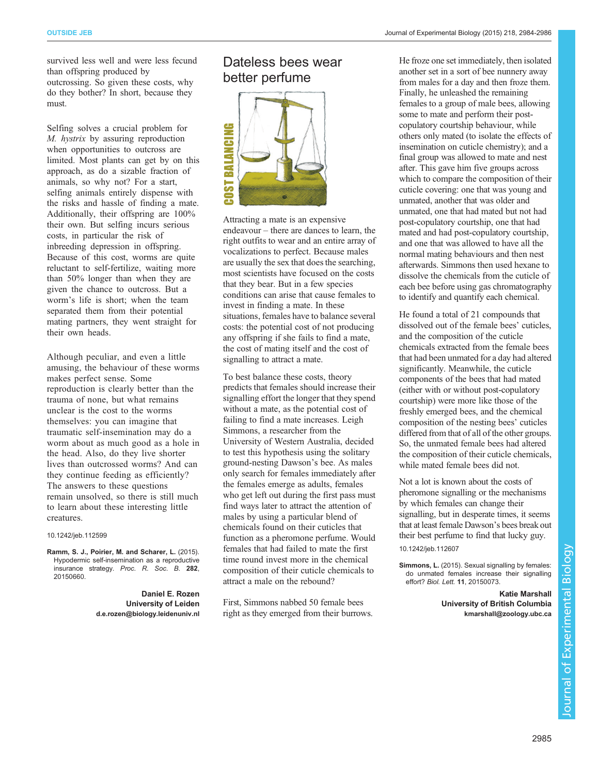survived less well and were less fecund than offspring produced by outcrossing. So given these costs, why do they bother? In short, because they must.

Selfing solves a crucial problem for M. hystrix by assuring reproduction when opportunities to outcross are limited. Most plants can get by on this approach, as do a sizable fraction of animals, so why not? For a start, selfing animals entirely dispense with the risks and hassle of finding a mate. Additionally, their offspring are 100% their own. But selfing incurs serious costs, in particular the risk of inbreeding depression in offspring. Because of this cost, worms are quite reluctant to self-fertilize, waiting more than 50% longer than when they are given the chance to outcross. But a worm's life is short; when the team separated them from their potential mating partners, they went straight for their own heads.

Although peculiar, and even a little amusing, the behaviour of these worms makes perfect sense. Some reproduction is clearly better than the trauma of none, but what remains unclear is the cost to the worms themselves: you can imagine that traumatic self-insemination may do a worm about as much good as a hole in the head. Also, do they live shorter lives than outcrossed worms? And can they continue feeding as efficiently? The answers to these questions remain unsolved, so there is still much to learn about these interesting little creatures.

#### 10.1242/jeb.112599

Ramm, S. J., Poirier, M. and Scharer, L. (2015). Hypodermic self-insemination as a reproductive insurance strategy. Proc. R. Soc. B. <sup>282</sup>, 20150660.

> Daniel E. Rozen University of Leiden d.e.rozen@biology.leidenuniv.nl

## Dateless bees wear better perfume



Attracting a mate is an expensive endeavour – there are dances to learn, the right outfits to wear and an entire array of vocalizations to perfect. Because males are usually the sex that does the searching, most scientists have focused on the costs that they bear. But in a few species conditions can arise that cause females to invest in finding a mate. In these situations, females have to balance several costs: the potential cost of not producing any offspring if she fails to find a mate, the cost of mating itself and the cost of signalling to attract a mate.

To best balance these costs, theory predicts that females should increase their signalling effort the longer that they spend without a mate, as the potential cost of failing to find a mate increases. Leigh Simmons, a researcher from the University of Western Australia, decided to test this hypothesis using the solitary ground-nesting Dawson's bee. As males only search for females immediately after the females emerge as adults, females who get left out during the first pass must find ways later to attract the attention of males by using a particular blend of chemicals found on their cuticles that function as a pheromone perfume. Would females that had failed to mate the first time round invest more in the chemical composition of their cuticle chemicals to attract a male on the rebound?

First, Simmons nabbed 50 female bees right as they emerged from their burrows. He froze one set immediately, then isolated another set in a sort of bee nunnery away from males for a day and then froze them. Finally, he unleashed the remaining females to a group of male bees, allowing some to mate and perform their postcopulatory courtship behaviour, while others only mated (to isolate the effects of insemination on cuticle chemistry); and a final group was allowed to mate and nest after. This gave him five groups across which to compare the composition of their cuticle covering: one that was young and unmated, another that was older and unmated, one that had mated but not had post-copulatory courtship, one that had mated and had post-copulatory courtship, and one that was allowed to have all the normal mating behaviours and then nest afterwards. Simmons then used hexane to dissolve the chemicals from the cuticle of each bee before using gas chromatography to identify and quantify each chemical.

He found a total of 21 compounds that dissolved out of the female bees' cuticles, and the composition of the cuticle chemicals extracted from the female bees that had been unmated for a day had altered significantly. Meanwhile, the cuticle components of the bees that had mated (either with or without post-copulatory courtship) were more like those of the freshly emerged bees, and the chemical composition of the nesting bees' cuticles differed from that of all of the other groups. So, the unmated female bees had altered the composition of their cuticle chemicals, while mated female bees did not.

Not a lot is known about the costs of pheromone signalling or the mechanisms by which females can change their signalling, but in desperate times, it seems that at least female Dawson's bees break out their best perfume to find that lucky guy. 10.1242/jeb.112607

Simmons, L. [\(2015\). Sexual signalling by females:](http://dx.doi.org/10.1098/rsbl.2015.0298) [do unmated females increase their signalling](http://dx.doi.org/10.1098/rsbl.2015.0298) effort? Biol. Lett. <sup>11</sup>[, 20150073.](http://dx.doi.org/10.1098/rsbl.2015.0298)

> Katie Marshall University of British Columbia kmarshall@zoology.ubc.ca